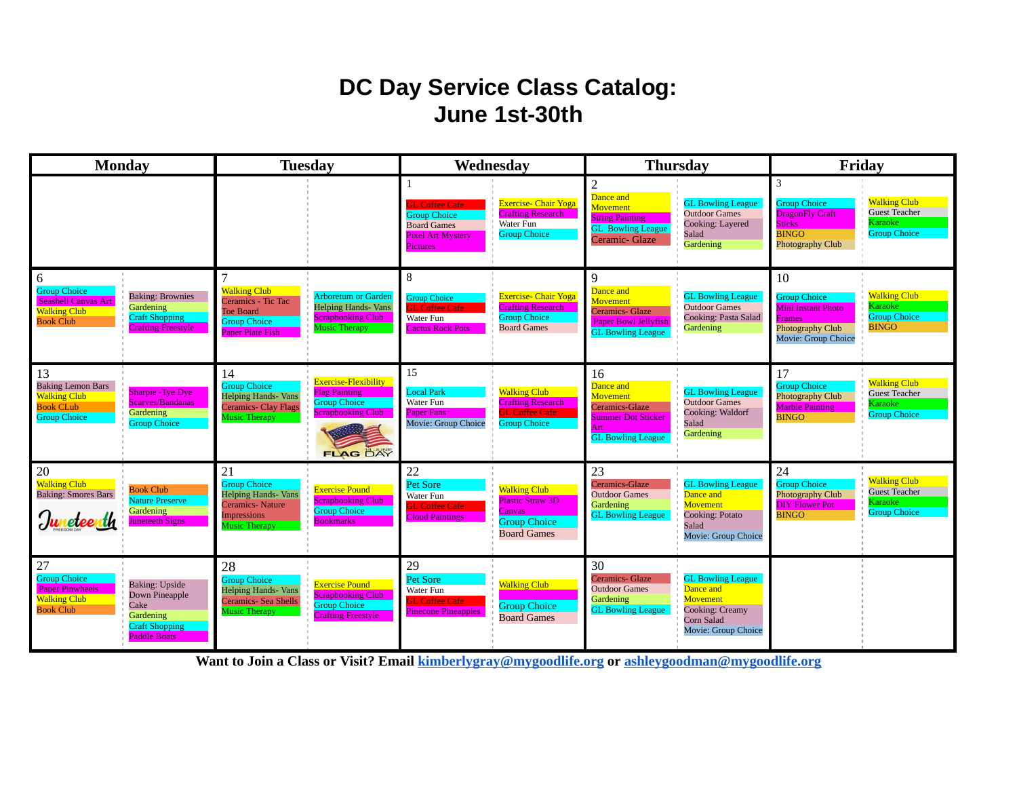## **DC Day Service Class Catalog: June 1st-30th**

| <b>Monday</b>                                                                                                                                                                                                  | <b>Tuesday</b>                                                                                                                                                                                                                  | Wednesday                                                                                                                                                                                                        | <b>Thursday</b>                                                                                                                                                                                                                 | Friday                                                                                                                                                                                            |
|----------------------------------------------------------------------------------------------------------------------------------------------------------------------------------------------------------------|---------------------------------------------------------------------------------------------------------------------------------------------------------------------------------------------------------------------------------|------------------------------------------------------------------------------------------------------------------------------------------------------------------------------------------------------------------|---------------------------------------------------------------------------------------------------------------------------------------------------------------------------------------------------------------------------------|---------------------------------------------------------------------------------------------------------------------------------------------------------------------------------------------------|
|                                                                                                                                                                                                                |                                                                                                                                                                                                                                 | <b>Exercise- Chair Yoga</b><br><b>J.</b> Coffee Cafe<br><b>Crafting Research</b><br><b>Group Choice</b><br>Water Fun<br><b>Board Games</b><br><b>Group Choice</b><br><b>Pixel Art Mystery</b><br><b>Pictures</b> | $\overline{2}$<br>Dance and<br><b>GL Bowling League</b><br><b>Movement</b><br><b>Outdoor Games</b><br><b>String Painting</b><br>Cooking: Layered<br><b>GL</b> Bowling League<br>Salad<br>Ceramic- Glaze<br>Gardening            | 3<br><b>Walking Club</b><br><b>Group Choice</b><br><b>Guest Teacher</b><br><b>DragonFly Craft</b><br>Karaoke i<br><b>Sticks</b><br><b>Group Choice</b><br><b>BINGO</b><br><b>Photography Club</b> |
| 6<br><b>Group Choice</b><br><b>Baking: Brownies</b><br><b>Seashell Canvas Art</b><br><b>Gardening</b><br><b>Walking Club</b><br><b>Craft Shopping</b><br><b>Book Club</b><br><b>Crafting Freestyle</b>         | <b>Walking Club</b><br><b>Arboretum or Garden</b><br>Ceramics - Tic Tac<br><b>Helping Hands- Vans</b><br><b>Toe Board</b><br><b>Scrapbooking Club</b><br><b>Group Choice</b><br><b>Music Therapy</b><br><b>Paper Plate Fish</b> | 8<br><b>Exercise- Chair Yoga</b><br><b>Group Choice</b><br><b>Crafting Research</b><br><b>T.</b> Coffee Cafe<br><b>Group Choice</b><br>Water Fun<br><b>Board Games</b><br><b>Cactus Rock Pots</b>                | 9<br>Dance and<br><b>GL Bowling League</b><br><b>Movement</b><br><b>Outdoor Games</b><br>Ceramics- Glaze<br>Cooking: Pasta Salad<br><b>Paper Bowl Jellyfish</b><br>Gardening<br><b>GL Bowling League</b>                        | 10<br><b>Walking Club</b><br><b>Group Choice</b><br>Karaoke<br><b>Mini Instant Photo</b><br><b>Group Choice</b><br><b>Frames</b><br><b>BINGO</b><br>Photography Club<br>Movie: Group Choice       |
| 13<br><b>Baking Lemon Bars</b><br><b>Sharpie - Tye Dye</b><br><b>Walking Club</b><br><b>Scarves/Bandanas</b><br><b>Book CLub</b><br>Gardening<br><b>Group Choice</b><br><b>Group Choice</b>                    | 14<br>Exercise-Flexibility<br><b>Group Choice</b><br><b>Flag Painting</b><br><b>Helping Hands- Vans</b><br><b>Group Choice</b><br><b>Ceramics- Clay Flags</b><br><b>Scrapbooking Club</b><br><b>Music Therapy</b><br>FLAG DAY   | 15<br><b>Walking Club</b><br><b>Local Park</b><br>Water Fun<br><b>Crafting Research</b><br><b>Paper Fans</b><br><b>H. Coffee Cafe</b><br>Movie: Group Choice<br><b>Group Choice</b>                              | 16<br>Dance and<br><b>GL Bowling League</b><br><b>Movement</b><br><b>Outdoor Games</b><br>Ceramics-Glaze<br>Cooking: Waldorf<br><b>Summer Dot Sticker</b><br>Salad<br>Art<br>Gardening<br><b>GL Bowling League</b>              | 17<br><b>Walking Club</b><br><b>Group Choice</b><br><b>Guest Teacher</b><br>Photography Club<br>Karaoke<br><b>Marble Painting</b><br><b>Group Choice</b><br><b>BINGO</b>                          |
| 20<br><b>Walking Club</b><br><b>Book Club</b><br><b>Baking: Smores Bars</b><br>Nature Preserve<br><b>Gardening</b><br>Juneteenth<br><b>Juneteeth Signs</b>                                                     | 21<br><b>Group Choice</b><br><b>Exercise Pound</b><br><b>Helping Hands- Vans</b><br><b>Scrapbooking Club</b><br><b>Ceramics-Nature</b><br><b>Group Choice</b><br><b>Impressions</b><br><b>Bookmarks</b><br><b>Music Therapy</b> | 22<br><b>Pet Sore</b><br><b>Walking Club</b><br>Water Fun<br><b>Plastic Straw 3D</b><br><b>L Coffee Cafe</b><br><b>Canvas</b><br><b>Cloud Paintings</b><br><b>Group Choice</b><br><b>Board Games</b>             | 23<br>Ceramics-Glaze<br><b>GL Bowling League</b><br><b>Outdoor Games</b><br>Dance and<br>Movement<br><b>Gardening</b><br><b>GL Bowling League</b><br>Cooking: Potato<br>Salad<br>Movie: Group Choice                            | 24<br><b>Walking Club</b><br><b>Group Choice</b><br><b>Guest Teacher</b><br>Photography Club<br>Karaoke<br><b>DIY Flower Pot</b><br><b>Group Choice</b><br><b>BINGO</b>                           |
| 27<br><b>Group Choice</b><br><b>Baking: Upside</b><br><b>Paper Pinwheels</b><br>Down Pineapple<br><b>Walking Club</b><br>Cake<br><b>Book Club</b><br>Gardening<br><b>Craft Shopping</b><br><b>Paddle Boats</b> | 28<br><b>Group Choice</b><br><b>Exercise Pound</b><br><b>Helping Hands- Vans</b><br><b>Scrapbooking Club</b><br>Ceramics- Sea Shells<br><b>Group Choice</b><br><b>Music Therapy</b><br><b>Crafting Freestyle</b>                | 29<br><b>Pet Sore</b><br><b>Walking Club</b><br>Water Fun<br><b>GL Coffee Cafe</b><br><b>Group Choice</b><br><b>Pinecone Pineapples</b><br><b>Board Games</b>                                                    | 30<br><b>Ceramics- Glaze</b><br><b>GL Bowling League</b><br><b>Outdoor Games</b><br>Dance and<br><b>Movement</b><br><b>Gardening</b><br><b>GL Bowling League</b><br><b>Cooking: Creamy</b><br>Corn Salad<br>Movie: Group Choice |                                                                                                                                                                                                   |

**Want to Join a Class or Visit? Email [kimberlygray@mygoodlife.org](mailto:kimberlygray@mygoodlife.org) or [ashleygoodman@mygoodlife.org](mailto:Asheleygoodman@myggodlife.org)**